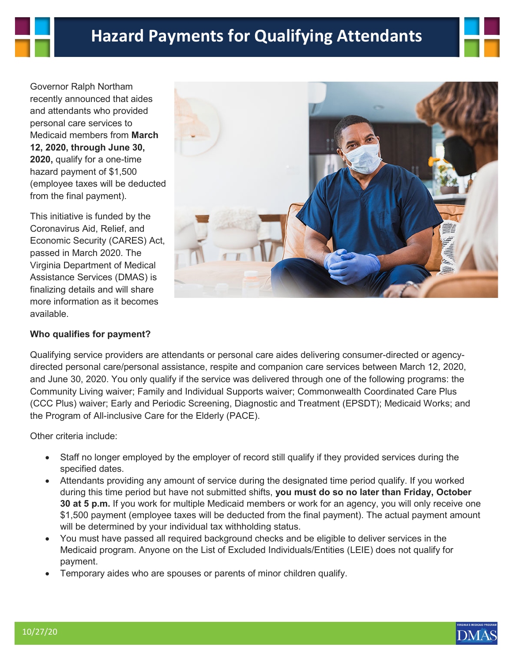Governor Ralph Northam recently announced that aides and attendants who provided personal care services to Medicaid members from **March 12, 2020, through June 30, 2020,** qualify for a one-time hazard payment of \$1,500 (employee taxes will be deducted from the final payment).

This initiative is funded by the Coronavirus Aid, Relief, and Economic Security (CARES) Act, passed in March 2020. The Virginia Department of Medical Assistance Services (DMAS) is finalizing details and will share more information as it becomes available.

## **Who qualifies for payment?**



Qualifying service providers are attendants or personal care aides delivering consumer-directed or agencydirected personal care/personal assistance, respite and companion care services between March 12, 2020, and June 30, 2020. You only qualify if the service was delivered through one of the following programs: the Community Living waiver; Family and Individual Supports waiver; Commonwealth Coordinated Care Plus (CCC Plus) waiver; Early and Periodic Screening, Diagnostic and Treatment (EPSDT); Medicaid Works; and the Program of All-inclusive Care for the Elderly (PACE).

Other criteria include:

- Staff no longer employed by the employer of record still qualify if they provided services during the specified dates.
- Attendants providing any amount of service during the designated time period qualify. If you worked during this time period but have not submitted shifts, **you must do so no later than Friday, October 30 at 5 p.m.** If you work for multiple Medicaid members or work for an agency, you will only receive one \$1,500 payment (employee taxes will be deducted from the final payment). The actual payment amount will be determined by your individual tax withholding status.
- You must have passed all required background checks and be eligible to deliver services in the Medicaid program. Anyone on the List of Excluded Individuals/Entities (LEIE) does not qualify for payment.
- Temporary aides who are spouses or parents of minor children qualify.